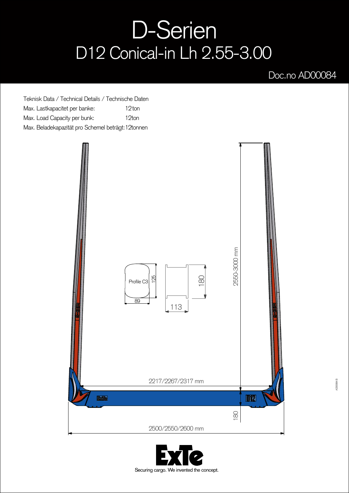## D-Serien D12 Conical-in Lh 2.55-3.00

## Doc.no AD00084

Teknisk Data / Technical Details / Technische Daten Max. Lastkapacitet per banke: Max. Load Capacity per bunk: Max. Beladekapazität pro Schemel beträgt: 12tonnen 12<sub>ton</sub> 12ton



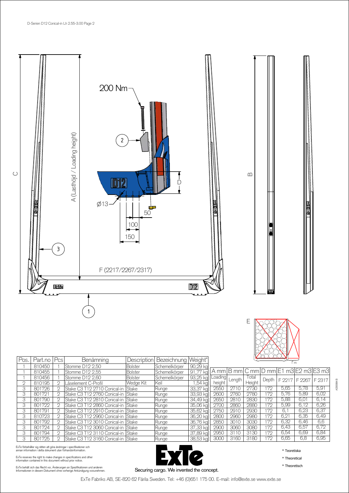



| Pos. | Part.no | Pcs            | Benämning                           | <b>Description</b> | Bezeichnung Weight* |          | 1 m     |        |        |       |      |                                       |        |  |
|------|---------|----------------|-------------------------------------|--------------------|---------------------|----------|---------|--------|--------|-------|------|---------------------------------------|--------|--|
|      | 810450  |                | Stomme D12 2.50                     | <b>Bolster</b>     | Schemelkörper       | 90,29 kg |         |        |        |       |      |                                       |        |  |
|      | 810455  |                | Stomme D12 2.55                     | <b>Bolster</b>     | Schemelkörper       | 91.77 kg |         |        |        |       |      | A mm B mm C mm D mm E1 m3 E2 m3 E3 m3 |        |  |
|      | 810456  |                | Stomme D12 2,60                     | <b>Bolster</b>     | Schemelkörper       | 93,25 kg | Loading | Length | Total  | Depth |      | F 2217 F 2267                         | F 2317 |  |
| O    | 810195  | $\mathfrak{D}$ | Låselement C-Profil                 | Wedge Kit          | Keil                | .54 kal  | height  |        | Height |       |      |                                       |        |  |
| 3    | 801726  | $\mathfrak{D}$ | Stake C3 T12 2710 Conical-in        | Stake              | Runge               | 33,37 kg | 2550    | 2710   | 2730   | 172   | 5,65 | 5.78                                  | 5,91   |  |
| 3    | 801721  | $\mathfrak{D}$ | Stake C3 T12 2760 Conical-in        | Stake              | Runge               | 33,93 kg | 2600    | 2760   | 2780   | 172   | 5.76 | 5,89                                  | 6,02   |  |
| 3    | 801790  | 2              | Stake C3 T12 2810 Conical-in        | Stake              | Runge               | 34,49 kg | 265C    | 2810   | 2830   | 172   | 5,88 | 6,01                                  | 6,14   |  |
| 3    | 801722  | 2              | Stake C3 T12 2860 Conical-in  Stake |                    | <b>IRunge</b>       | 35,06 kg | 2700    | 2860   | 2880   | 172   | 5.99 | 6,12                                  | 6,26   |  |
| 3    | 801791  | $\mathfrak{D}$ | Stake C3 T12 2910 Conical-in  Stake |                    | Runge               | 35,62 kg | 2750    | 2910   | 2930   | 172   | 6.   | 6,23                                  | 6,37   |  |
| 3    | 810723  | $\mathfrak{D}$ | Stake C3 T12 2960 Conical-in        | Stake              | Runge               | 36,20 kg | 2800    | 2960   | 2980   | 172   | 6,2  | 6,35                                  | 6,49   |  |
| 3    | 801792  | $\mathfrak{D}$ | Stake C3 T12 3010 Conical-in  Stake |                    | Runge               | 36,76 kg | 2850    | 3010   | 3030   | 172   | 6,32 | 6,46                                  | 6,6    |  |
| 3    | 801724  | 2              | Stake C3 T12 3060 Conical-in Stake  |                    | Runge               | 37,33 kg | 2900    | 3060   | 3080   | 172   | 6.43 | 6,57                                  | 6,72   |  |
| 3    | 801794  | 2              | Stake C3 T12 3110 Conical-in        | Stake              | Runge               | 37,89 kg | 2950    | 3110   | 3130   | 172   | 6,54 | 6,69                                  | 6,84   |  |
| 3    | 801725  | 2              | Stake C3 T12 3160 Conical-in  Stake |                    | Runge               | 38,53 kg | 3000    | 3160   | 3180   | 172   | 6.65 | 6.8                                   | 6.95   |  |

ExTe förbehåller sig rätten att göra ändringar i specifikationer och<br>annan information i detta dokument utan förhandsinformation.

ExTe reserves the right to make changes in specifications and other information contained in this document without prior notice.

ExTe behält sich das Recht vor, Änderungen an Spezifikationen und anderen<br>Informationen in diesem Dokument ohne vorherige Ankündigung vorzunehmen.



\* Teoretiska

\* Theoretical

\* Theoretisch

AD00084 B

ExTe Fabriks AB, SE-820 62 Färila Sweden. Tel: +46 (0)651 175 00. E-mail: info@exte.se www.exte.se